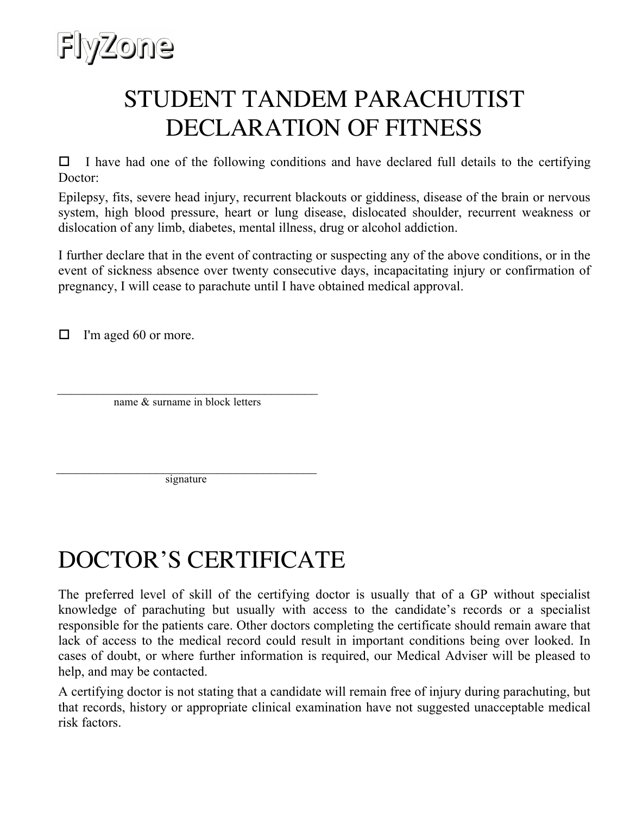

## STUDENT TANDEM PARACHUTIST DECLARATION OF FITNESS

 $\Box$  I have had one of the following conditions and have declared full details to the certifying Doctor:

Epilepsy, fits, severe head injury, recurrent blackouts or giddiness, disease of the brain or nervous system, high blood pressure, heart or lung disease, dislocated shoulder, recurrent weakness or dislocation of any limb, diabetes, mental illness, drug or alcohol addiction.

I further declare that in the event of contracting or suspecting any of the above conditions, or in the event of sickness absence over twenty consecutive days, incapacitating injury or confirmation of pregnancy, I will cease to parachute until I have obtained medical approval.

 $\Box$  I'm aged 60 or more.

name & surname in block letters  $\overline{\phantom{a}}$  , which is a set of the set of the set of the set of the set of the set of the set of the set of the set of the set of the set of the set of the set of the set of the set of the set of the set of the set of th

\_\_\_\_\_\_\_\_\_\_\_\_\_\_\_\_\_\_\_\_\_\_\_\_\_\_\_\_\_\_\_\_\_\_\_\_\_\_\_ signature

## DOCTOR'S CERTIFICATE

The preferred level of skill of the certifying doctor is usually that of a GP without specialist knowledge of parachuting but usually with access to the candidate's records or a specialist responsible for the patients care. Other doctors completing the certificate should remain aware that lack of access to the medical record could result in important conditions being over looked. In cases of doubt, or where further information is required, our Medical Adviser will be pleased to help, and may be contacted.

A certifying doctor is not stating that a candidate will remain free of injury during parachuting, but that records, history or appropriate clinical examination have not suggested unacceptable medical risk factors.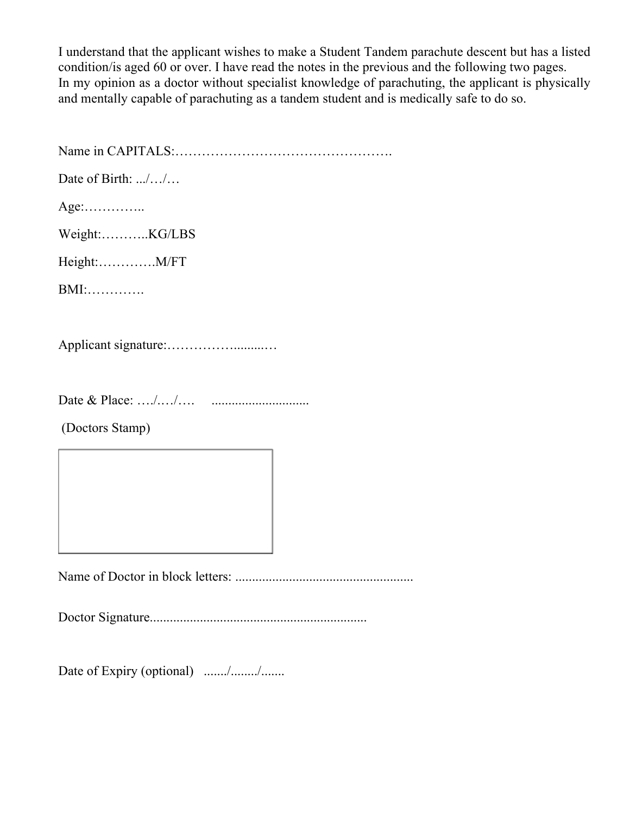I understand that the applicant wishes to make a Student Tandem parachute descent but has a listed condition/is aged 60 or over. I have read the notes in the previous and the following two pages. In my opinion as a doctor without specialist knowledge of parachuting, the applicant is physically and mentally capable of parachuting as a tandem student and is medically safe to do so.

Name in CAPITALS:…………………………………………. Date of Birth: .../.../... Age:………….. Weight:………..KG/LBS Height:………….M/FT BMI:…………. Applicant signature:…………….........…

Date & Place: …./.…/…. .............................

(Doctors Stamp)

Name of Doctor in block letters: .....................................................

Doctor Signature.................................................................

Date of Expiry (optional) ......./......./.......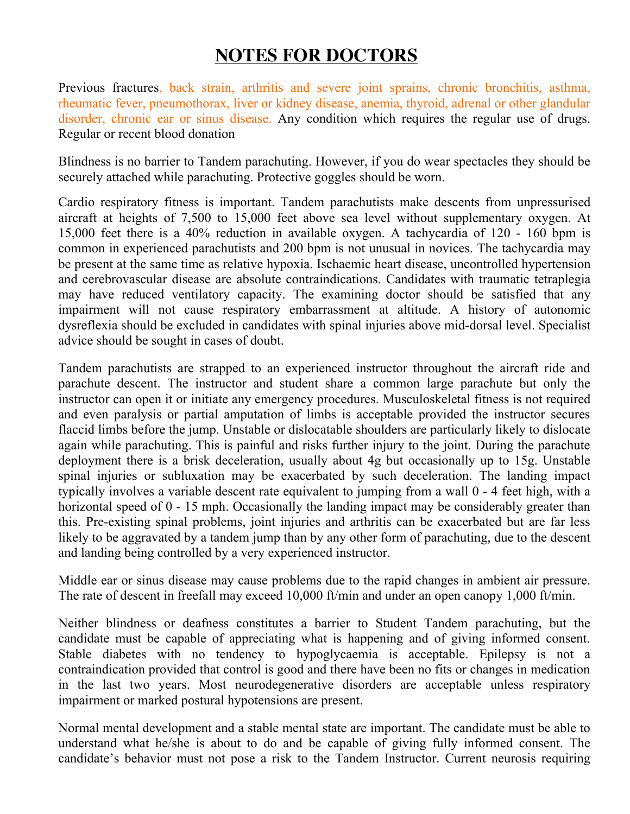## **NOTES FOR DOCTORS**

Previous fractures, back strain, arthritis and severe joint sprains, chronic bronchitis, asthma, rheumatic fever, pneumothorax, liver or kidney disease, anemia, thyroid, adrenal or other glandular disorder, chronic ear or sinus disease. Any condition which requires the regular use of drugs. Regular or recent blood donation

Blindness is no barrier to Tandem parachuting. However, if you do wear spectacles they should be securely attached while parachuting. Protective goggles should be worn.

Cardio respiratory fitness is important. Tandem parachutists make descents from unpressurised aircraft at heights of 7,500 to 15,000 feet above sea level without supplementary oxygen. At 15,000 feet there is a 40% reduction in available oxygen. A tachycardia of 120 - 160 bpm is common in experienced parachutists and 200 bpm is not unusual in novices. The tachycardia may be present at the same time as relative hypoxia. Ischaemic heart disease, uncontrolled hypertension and cerebrovascular disease are absolute contraindications. Candidates with traumatic tetraplegia may have reduced ventilatory capacity. The examining doctor should be satisfied that any impairment will not cause respiratory embarrassment at altitude. A history of autonomic dysreflexia should be excluded in candidates with spinal injuries above mid-dorsal level. Specialist advice should be sought in cases of doubt.

Tandem parachutists are strapped to an experienced instructor throughout the aircraft ride and parachute descent. The instructor and student share a common large parachute but only the instructor can open it or initiate any emergency procedures. Musculoskeletal fitness is not required and even paralysis or partial amputation of limbs is acceptable provided the instructor secures flaccid limbs before the jump. Unstable or dislocatable shoulders are particularly likely to dislocate again while parachuting. This is painful and risks further injury to the joint. During the parachute deployment there is a brisk deceleration, usually about 4g but occasionally up to 15g. Unstable spinal injuries or subluxation may be exacerbated by such deceleration. The landing impact typically involves a variable descent rate equivalent to jumping from a wall 0 - 4 feet high, with a horizontal speed of 0 - 15 mph. Occasionally the landing impact may be considerably greater than this. Pre-existing spinal problems, joint injuries and arthritis can be exacerbated but are far less likely to be aggravated by a tandem jump than by any other form of parachuting, due to the descent and landing being controlled by a very experienced instructor.

Middle ear or sinus disease may cause problems due to the rapid changes in ambient air pressure. The rate of descent in freefall may exceed 10,000 ft/min and under an open canopy 1,000 ft/min.

Neither blindness or deafness constitutes a barrier to Student Tandem parachuting, but the candidate must be capable of appreciating what is happening and of giving informed consent. Stable diabetes with no tendency to hypoglycaemia is acceptable. Epilepsy is not a contraindication provided that control is good and there have been no fits or changes in medication in the last two years. Most neurodegenerative disorders are acceptable unless respiratory impairment or marked postural hypotensions are present.

Normal mental development and a stable mental state are important. The candidate must be able to understand what he/she is about to do and be capable of giving fully informed consent. The candidate's behavior must not pose a risk to the Tandem Instructor. Current neurosis requiring